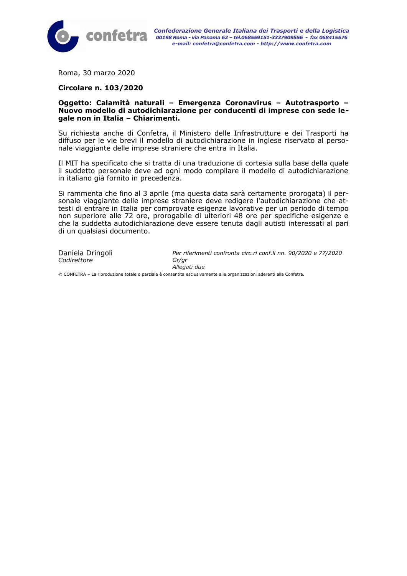

Roma, 30 marzo 2020

#### **Circolare n. 103/2020**

#### **Oggetto: Calamità naturali – Emergenza Coronavirus – Autotrasporto – Nuovo modello di autodichiarazione per conducenti di imprese con sede legale non in Italia – Chiarimenti.**

Su richiesta anche di Confetra, il Ministero delle Infrastrutture e dei Trasporti ha diffuso per le vie brevi il modello di autodichiarazione in inglese riservato al personale viaggiante delle imprese straniere che entra in Italia.

Il MIT ha specificato che si tratta di una traduzione di cortesia sulla base della quale il suddetto personale deve ad ogni modo compilare il modello di autodichiarazione in italiano già fornito in precedenza.

Si rammenta che fino al 3 aprile (ma questa data sarà certamente prorogata) il personale viaggiante delle imprese straniere deve redigere l'autodichiarazione che attesti di entrare in Italia per comprovate esigenze lavorative per un periodo di tempo non superiore alle 72 ore, prorogabile di ulteriori 48 ore per specifiche esigenze e che la suddetta autodichiarazione deve essere tenuta dagli autisti interessati al pari di un qualsiasi documento.

*Codirettore Gr/gr*

Daniela Dringoli *Per riferimenti confronta circ.ri conf.li nn. 90/2020 e 77/2020 Allegati due*

© CONFETRA – La riproduzione totale o parziale è consentita esclusivamente alle organizzazioni aderenti alla Confetra.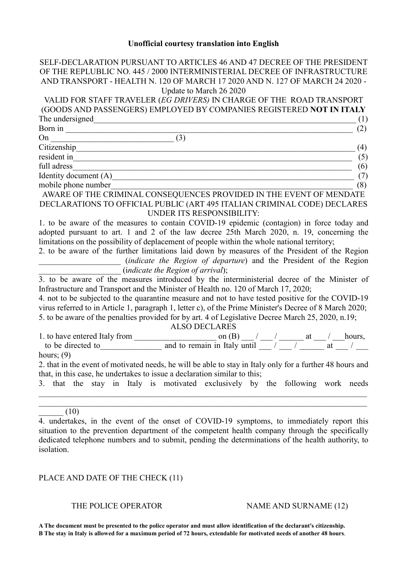# **Unofficial courtesy translation into English**

| SELF-DECLARATION PURSUANT TO ARTICLES 46 AND 47 DECREE OF THE PRESIDENT                                   |
|-----------------------------------------------------------------------------------------------------------|
| OF THE REPLUBLIC NO. 445 / 2000 INTERMINISTERIAL DECREE OF INFRASTRUCTURE                                 |
| AND TRANSPORT - HEALTH N. 120 OF MARCH 17 2020 AND N. 127 OF MARCH 24 2020 -                              |
| Update to March 26 2020                                                                                   |
| VALID FOR STAFF TRAVELER (EG DRIVERS) IN CHARGE OF THE ROAD TRANSPORT                                     |
| (GOODS AND PASSENGERS) EMPLOYED BY COMPANIES REGISTERED NOT IN ITALY                                      |
| The undersigned<br>(1)                                                                                    |
| Born in<br>(2)                                                                                            |
| On<br>(3)                                                                                                 |
| (4)                                                                                                       |
| resident in<br>(5)                                                                                        |
| full adress<br>(6)                                                                                        |
| Identity document (A)<br>(7)                                                                              |
| mobile phone number<br>(8)                                                                                |
| AWARE OF THE CRIMINAL CONSEQUENCES PROVIDED IN THE EVENT OF MENDATE                                       |
| DECLARATIONS TO OFFICIAL PUBLIC (ART 495 ITALIAN CRIMINAL CODE) DECLARES                                  |
| UNDER ITS RESPONSIBILITY:                                                                                 |
| 1. to be aware of the measures to contain COVID-19 epidemic (contagion) in force today and                |
| adopted pursuant to art. 1 and 2 of the law decree 25th March 2020, n. 19, concerning the                 |
| limitations on the possibility of deplacement of people within the whole national territory;              |
| 2. to be aware of the further limitations laid down by measures of the President of the Region            |
| (indicate the Region of departure) and the President of the Region                                        |
| (indicate the Region of arrival);                                                                         |
| 3. to be aware of the measures introduced by the interministerial decree of the Minister of               |
| Infrastructure and Transport and the Minister of Health no. 120 of March 17, 2020;                        |
| 4. not to be subjected to the quarantine measure and not to have tested positive for the COVID-19         |
| virus referred to in Article 1, paragraph 1, letter c), of the Prime Minister's Decree of 8 March 2020;   |
| 5. to be aware of the penalties provided for by art. 4 of Legislative Decree March 25, 2020, n.19;        |
| <b>ALSO DECLARES</b>                                                                                      |
|                                                                                                           |
|                                                                                                           |
| hours; $(9)$                                                                                              |
| 2. that in the event of motivated needs, he will be able to stay in Italy only for a further 48 hours and |
| that, in this case, he undertakes to issue a declaration similar to this;                                 |
| 3. that the stay in Italy is motivated exclusively by the following work needs                            |
|                                                                                                           |
|                                                                                                           |
| (10)                                                                                                      |
| 4. undertakes, in the event of the onset of COVID-19 symptoms, to immediately report this                 |
| situation to the prevention department of the competent health company through the specifically           |

# PLACE AND DATE OF THE CHECK (11)

## THE POLICE OPERATOR NAME AND SURNAME (12)

**A The document must be presented to the police operator and must allow identification of the declarant's citizenship. B The stay in Italy is allowed for a maximum period of 72 hours, extendable for motivated needs of another 48 hours**.

situation to the prevention department of the competent health company through the specifically dedicated telephone numbers and to submit, pending the determinations of the health authority, to isolation.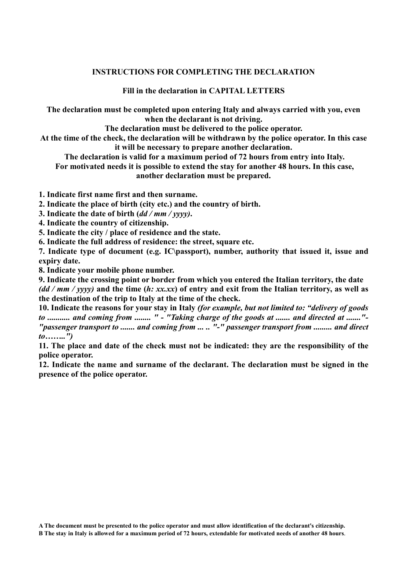## **INSTRUCTIONS FOR COMPLETING THE DECLARATION**

**Fill in the declaration in CAPITAL LETTERS** 

**The declaration must be completed upon entering Italy and always carried with you, even when the declarant is not driving.** 

**The declaration must be delivered to the police operator.** 

**At the time of the check, the declaration will be withdrawn by the police operator. In this case it will be necessary to prepare another declaration.** 

 **The declaration is valid for a maximum period of 72 hours from entry into Italy.** 

 **For motivated needs it is possible to extend the stay for another 48 hours. In this case, another declaration must be prepared.** 

**1. Indicate first name first and then surname.** 

**2. Indicate the place of birth (city etc.) and the country of birth.** 

**3. Indicate the date of birth (***dd / mm / yyyy)***.** 

**4. Indicate the country of citizenship.** 

**5. Indicate the city / place of residence and the state.** 

**6. Indicate the full address of residence: the street, square etc.** 

**7. Indicate type of document (e.g. IC\passport), number, authority that issued it, issue and expiry date.** 

**8. Indicate your mobile phone number.** 

**9. Indicate the crossing point or border from which you entered the Italian territory, the date** *(dd / mm / yyyy)* **and the time (***h: xx.xx***) of entry and exit from the Italian territory, as well as the destination of the trip to Italy at the time of the check.** 

**10. Indicate the reasons for your stay in Italy** *(for example, but not limited to: "delivery of goods to ........... and coming from ........ " - "Taking charge of the goods at ....... and directed at ......."- "passenger transport to ....... and coming from ... .. "-" passenger transport from ......... and direct to……..")*

**11. The place and date of the check must not be indicated: they are the responsibility of the police operator.** 

**12. Indicate the name and surname of the declarant. The declaration must be signed in the presence of the police operator.**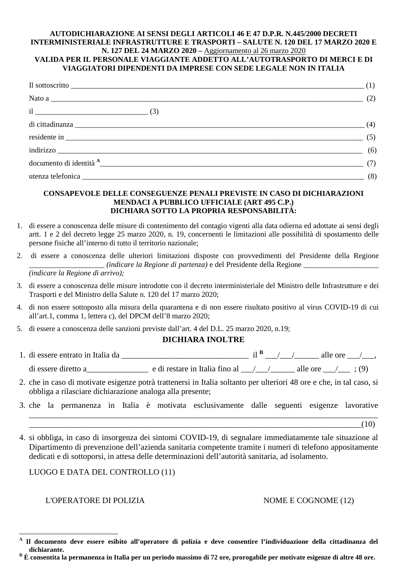#### **AUTODICHIARAZIONE AI SENSI DEGLI ARTICOLI 46 E 47 D.P.R. N.445/2000 DECRETI INTERMINISTERIALE INFRASTRUTTURE E TRASPORTI – SALUTE N. 120 DEL 17 MARZO 2020 E N. 127 DEL 24 MARZO 2020 –** Aggiornamento al 26 marzo 2020

### **VALIDA PER IL PERSONALE VIAGGIANTE ADDETTO ALL'AUTOTRASPORTO DI MERCI E DI VIAGGIATORI DIPENDENTI DA IMPRESE CON SEDE LEGALE NON IN ITALIA**

| Il sottoscritto $\qquad \qquad (1)$ |  |
|-------------------------------------|--|
|                                     |  |
| $il$ (3)                            |  |
|                                     |  |
| $residente in _______$ (5)          |  |
| $indirizzo$ (6)                     |  |
| documento di identità $A$ (7)       |  |
| utenza telefonica (8)               |  |

#### **CONSAPEVOLE DELLE CONSEGUENZE PENALI PREVISTE IN CASO DI DICHIARAZIONI MENDACI A PUBBLICO UFFICIALE (ART 495 C.P.) DICHIARA SOTTO LA PROPRIA RESPONSABILITÀ:**

- 1. di essere a conoscenza delle misure di contenimento del contagio vigenti alla data odierna ed adottate ai sensi degli artt. 1 e 2 del decreto legge 25 marzo 2020, n. 19, concernenti le limitazioni alle possibilità di spostamento delle persone fisiche all'interno di tutto il territorio nazionale;
- 2. di essere a conoscenza delle ulteriori limitazioni disposte con provvedimenti del Presidente della Regione \_\_\_\_\_\_\_\_\_\_\_\_\_\_\_\_\_\_\_\_ *(indicare la Regione di partenza)* e del Presidente della Regione \_\_\_\_\_\_\_\_\_\_\_\_\_\_\_\_\_\_\_\_ *(indicare la Regione di arrivo);*
- 3. di essere a conoscenza delle misure introdotte con il decreto interministeriale del Ministro delle Infrastrutture e dei Trasporti e del Ministro della Salute n. 120 del 17 marzo 2020;
- 4. di non essere sottoposto alla misura della quarantena e di non essere risultato positivo al virus COVID-19 di cui all'art.1, comma 1, lettera c), del DPCM dell'8 marzo 2020;
- 5. di essere a conoscenza delle sanzioni previste dall'art. 4 del D.L. 25 marzo 2020, n.19;

#### **DICHIARA INOLTRE**

- 1. di essere entrato in Italia da \_\_\_\_\_\_\_\_\_\_\_\_\_\_\_\_\_\_\_\_\_\_\_\_\_\_\_\_\_\_\_ il **<sup>B</sup>** \_\_\_/\_\_\_/\_\_\_\_\_\_ alle ore \_\_\_/\_\_\_, di essere diretto a\_\_\_\_\_\_\_\_\_\_\_\_\_\_\_\_\_\_\_ e di restare in Italia fino al  $\frac{1}{\sqrt{1-\frac{1}{\sqrt{1-\frac{1}{\sqrt{1-\frac{1}{\sqrt{1-\frac{1}{\sqrt{1-\frac{1}{\sqrt{1-\frac{1}{\sqrt{1-\frac{1}{\sqrt{1-\frac{1}{\sqrt{1-\frac{1}{\sqrt{1-\frac{1}{\sqrt{1-\frac{1}{\sqrt{1-\frac{1}{\sqrt{1-\frac{1}{\sqrt{1-\frac{1}{\sqrt{1-\frac{1}{\sqrt{1-\frac{1}{\$
- 2. che in caso di motivate esigenze potrà trattenersi in Italia soltanto per ulteriori 48 ore e che, in tal caso, si obbliga a rilasciare dichiarazione analoga alla presente;
- 3. che la permanenza in Italia è motivata esclusivamente dalle seguenti esigenze lavorative

\_\_\_\_\_\_\_\_\_\_\_\_\_\_\_\_\_\_\_\_\_\_\_\_\_\_\_\_\_\_\_\_\_\_\_\_\_\_\_\_\_\_\_\_\_\_\_\_\_\_\_\_\_\_\_\_\_\_\_\_\_\_\_\_\_\_\_\_\_\_\_\_\_\_\_\_\_\_\_\_\_\_\_\_\_  $\hspace{2cm} (10)$ 

4. si obbliga, in caso di insorgenza dei sintomi COVID-19, di segnalare immediatamente tale situazione al Dipartimento di prevenzione dell'azienda sanitaria competente tramite i numeri di telefono appositamente dedicati e di sottoporsi, in attesa delle determinazioni dell'autorità sanitaria, ad isolamento.

## LUOGO E DATA DEL CONTROLLO (11)

L'OPERATORE DI POLIZIA NOME E COGNOME (12)

 $\overline{a}$ **A Il documento deve essere esibito all'operatore di polizia e deve consentire l'individuazione della cittadinanza del dichiarante.** 

**B** È consentita la permanenza in Italia per un periodo massimo di 72 ore, prorogabile per motivate esigenze di altre 48 ore.